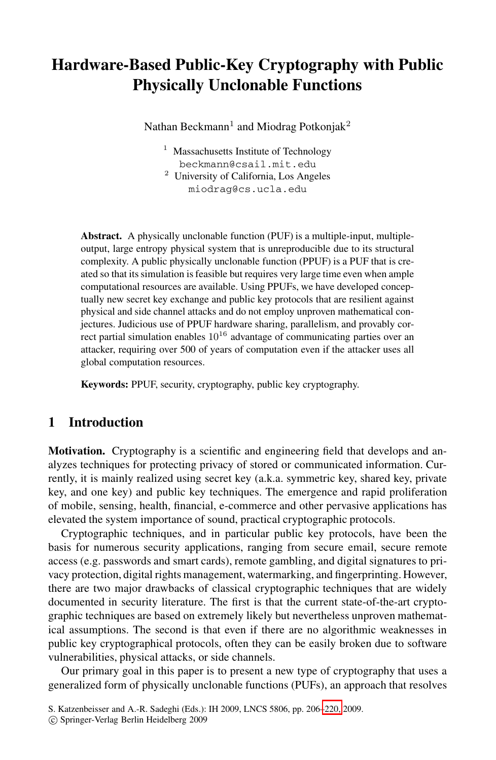# **Hardware-Based Public-Key Cryptography with Public Physically Unclonable Functions**

Nathan Beckmann<sup>1</sup> and Miodrag Potkonjak<sup>2</sup>

<sup>1</sup> Massachusetts Institute of Technology beckmann@csail.mit.edu <sup>2</sup> University of California, Los Angeles miodrag@cs.ucla.edu

**Abstract.** A physically unclonable function (PUF) is a multiple-input, multipleoutput, large entropy physical system that is unreproducible due to its structural complexity. A public physically unclonable function (PPUF) is a PUF that is created so that its simulation is feasible but requires very large time even when ample computational resources are available. Using PPUFs, we have developed conceptually new secret key exchange and public key protocols that are resilient against physical and side channel attacks and do not employ unproven mathematical conjectures. Judicious use of PPUF hardware sharing, parallelism, and provably correct partial simulation enables  $10^{16}$  advantage of communicating parties over an attacker, requiring over 500 of years of computation even if the attacker uses all global computation resources.

**Keywords:** PPUF, security, cryptography, public key cryptography.

# **1 Introduction**

**Motivation.** Cryptography is a scientific and engineering field that develops and analyzes techniques for protecting privacy of stored or communicated information. Currently, it is mainly realized using secret key (a.k.a. symmetric key, shared key, private key, and one key) and public key techniques. The emergence and rapid proliferation of mobile, sensing, health, financial, e-commerce and other pervasive applications has elevated the system importance of sound, practical cryptographic protocols.

Cryptographic techniques, and in particular public key protocols, have been the basis for numerous security applications, ranging from secure email, secure remote access (e.g. passwords and smart cards), remote gambling, and digital signatures to privacy protection, digital rights management, watermarking, and fingerprinting. However, there are two major drawbacks of classical cryptographic techniques that are widely documented in security literature. Th[e firs](#page-14-0)t is that the current state-of-the-art cryptographic techniques are based on extremely likely but nevertheless unproven mathematical assumptions. The second is that even if there are no algorithmic weaknesses in public key cryptographical protocols, often they can be easily broken due to software vulnerabilities, physical attacks, or side channels.

Our primary goal in this paper is to present a new type of cryptography that uses a generalized form of physically unclonable functions (PUFs), an approach that resolves

S. Katzenbeisser and A.-R. Sadeghi (Eds.): IH 2009, LNCS 5806, pp. 206–220, 2009.

<sup>-</sup>c Springer-Verlag Berlin Heidelberg 2009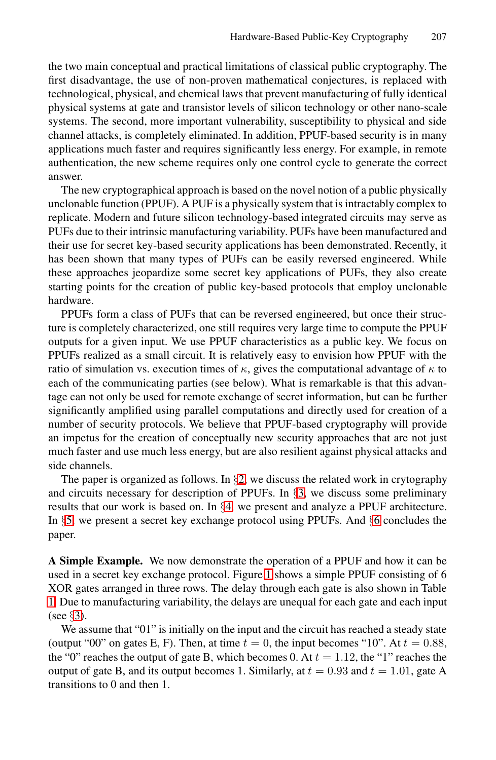the two main conceptual and practical limitations of classical public cryptography. The first disadvantage, the use of non-proven mathematical conjectures, is replaced with technological, physical, and chemical laws that prevent manufacturing of fully identical physical systems at gate and transistor levels of silicon technology or other nano-scale systems. The second, more important vulnerability, susceptibility to physical and side channel attacks, is completely eliminated. In addition, PPUF-based security is in many applications much faster and requires significantly less energy. For example, in remote authentication, the new scheme requires only one control cycle to generate the correct answer.

The new cryptographical approach is based on the novel notion of a public physically unclonable function (PPUF). A PUF is a physically system that is intractably complex to replicate. Modern and future silicon technology-based integrated circuits may serve as PUFs due to their intrinsic manufacturing variability. PUFs have been manufactured and their use for secret key-based security applications has been demonstrated. Recently, it has been shown that many types of PUFs can be easily reversed engineered. While these approaches jeopardize some secret key applications of PUFs, they also create starting points for the creation of public key-based protocols that employ unclonable hardware.

PPUFs form a class of PUFs that can be reversed engineered, but once their structure is completely characterized, one still requires very large time to compute the PPUF outputs for a given input. We use PPUF characteristics as a public key. We focus on PPUFs realized as a small circuit. It is relatively easy to envision how PPUF with the ratio of simulation [vs.](#page-3-0) execution times of  $\kappa$ , gives the computational advantage of  $\kappa$  to each of the communicating parti[es](#page-4-0) (see below). What is remarkable is that this advantage can not only [be](#page-5-0) used for remote exchange of secret information, but can be further significantly amplified using parallel computatio[ns](#page-12-0) and directly used for creation of a number of security protocols. We believe that PPUF-based cryptography will provide an impetus for the creation of conceptually new security approaches that are not just much faster and use much less energy, but are also resilient against physical attacks and side channels.

<span id="page-1-0"></span>The paper is organized as follows. In §2, we discuss the related work in crytography and circuits necessary for description of PPUFs. In §3, we discuss some preliminary results that our work is based on. In §4, we present and analyze a PPUF architecture. In §5, we present a secret key exchange protocol using PPUFs. And §6 concludes the paper.

**A Simple Example.** We now demonstrate the operation of a PPUF and how it can be used in a secret key exchange protocol. Figure 1 shows a simple PPUF consisting of 6 XOR gates arranged in three rows. The delay through each gate is also shown in Table 1. Due to manufacturing variability, the delays are unequal for each gate and each input (see §3).

We assume that "01" is initially on the input and the circuit has reached a steady state (output "00" on gates E, F). Then, at time  $t = 0$ , the input becomes "10". At  $t = 0.88$ , the "0" reaches the output of gate B, which becomes 0. At  $t = 1.12$ , the "1" reaches the output of gate B, and its output becomes 1. Similarly, at  $t = 0.93$  and  $t = 1.01$ , gate A transitions to 0 and then 1.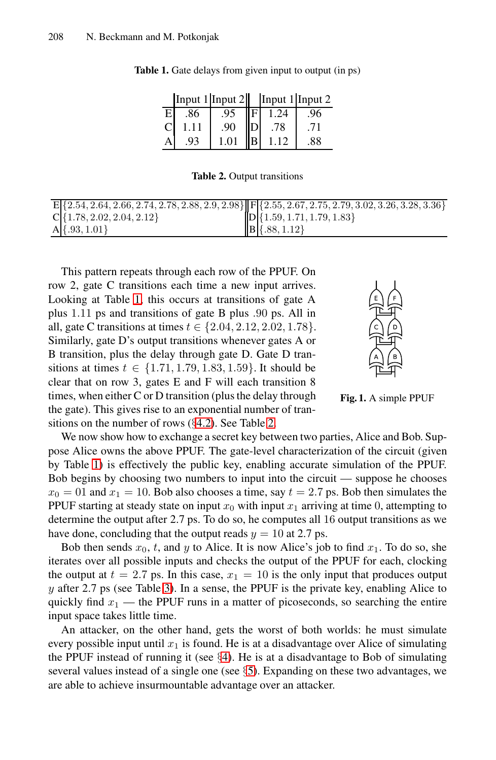|   |      | $\vert$ Input 1 $\vert$ Input 2 $\vert$   Input 1 $\vert$ Input 2 |     |     |
|---|------|-------------------------------------------------------------------|-----|-----|
| Е | .86  |                                                                   |     |     |
|   | 1.11 |                                                                   | .78 | -71 |
|   |      | 1.01                                                              |     | 88. |

<span id="page-2-0"></span>**Table 1.** Gate delays from given input to output (in ps)

**Table 2.** Output transitions

|                                 | $E[\{2.54, 2.64, 2.66, 2.74, 2.78, 2.88, 2.9, 2.98\}]\F[\{2.55, 2.67, 2.75, 2.79, 3.02, 3.26, 3.28, 3.36\}$ |
|---------------------------------|-------------------------------------------------------------------------------------------------------------|
| $C[\{1.78, 2.02, 2.04, 2.12\}]$ | $D$ {1.59, 1.71, 1.79, 1.83}                                                                                |
| $A\{.93, 1.01\}$                | B[.88, 1.12]                                                                                                |
|                                 |                                                                                                             |

This pattern repeats through each row of the PPUF. On row 2, gate C transitions each time a new input arrives. Looking at Table 1, this occurs at transitions of gate A plus 1.11 [ps an](#page-6-0)d transitio[ns](#page-2-0) of gate B plus .90 ps. All in all, gate C transitions at times  $t \in \{2.04, 2.12, 2.02, 1.78\}$ . Similarly, gate D's output transitions whenever gates A or B transition, plus the delay through gate D. Gate D transitions at times  $t \in \{1.71, 1.79, 1.83, 1.59\}$ . It should be clear that on row 3, gates E and F will each transition 8 times, when either C or D transition (plus the delay through the gate). This gives rise to an exponential number of transitions on the number of rows (§4.2). See Table 2.



**Fig. 1.** A simple PPUF

We now show how to exchange a secret key between two parties, Alice and Bob. Suppose Alice owns the above PPUF. The gate-level characterization of the circuit (given by Table 1) is effectively the public key, enabling accurate simulation of the PPUF. Bob [b](#page-3-1)egins by choosing two numbers to input into the circuit — suppose he chooses  $x_0 = 01$  and  $x_1 = 10$ . Bob also chooses a time, say  $t = 2.7$  ps. Bob then simulates the PPUF starting at steady state on input  $x_0$  with input  $x_1$  arriving at time 0, attempting to determine the output after 2.7 ps. To do so, he computes all 16 output transitions as we have done, concluding that the output reads  $y = 10$  at 2.7 ps.

Bob then sen[ds](#page-5-0)  $x_0$ , t, and y to Alice. It is now Alice's job to find  $x_1$ . To do so, she iterates over all possi[ble](#page-10-0) inputs and checks the output of the PPUF for each, clocking the output at  $t = 2.7$  ps. In this case,  $x_1 = 10$  is the only input that produces output  $y$  after 2.7 ps (see Table 3). In a sense, the PPUF is the private key, enabling Alice to quickly find  $x_1$  — the PPUF runs in a matter of picoseconds, so searching the entire input space takes little time.

An attacker, on the other hand, gets the worst of both worlds: he must simulate every possible input until  $x_1$  is found. He is at a disadvantage over Alice of simulating the PPUF instead of running it (see §4). He is at a disadvantage to Bob of simulating several values instead of a single one (see §5). Expanding on these two advantages, we are able to achieve insurmountable advantage over an attacker.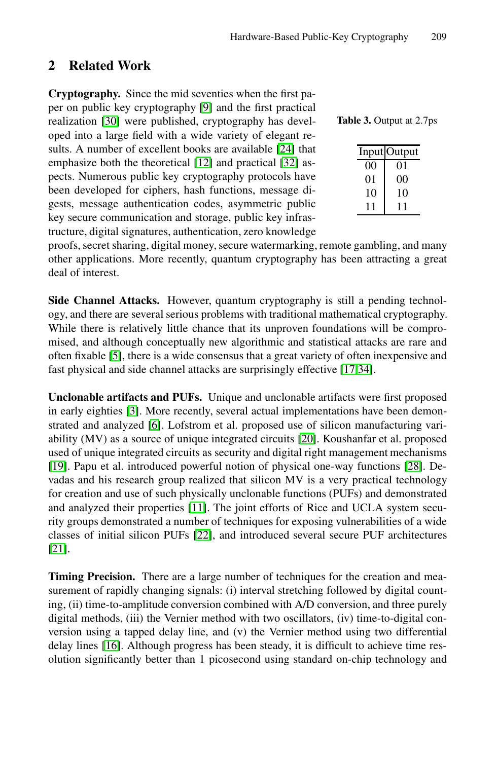# <span id="page-3-1"></span><span id="page-3-0"></span>**2 Relat[ed](#page-13-0) Work**

**Cryptography.** Since the mid seventies when the first paper on public key cryptography [9] and the first practical realization [30] were published, cryptography has developed into a large field with a wide variety of elegant results. A number of excellent books are available [24] that emphasize both the theoretical [12] and practical [32] aspects. Numerous public key cryptography protocols have been developed for ciphers, hash functions, message digests, message authentication codes, asymmetric public key secure communication and storage, public key infrastructure, digital signatures, authentication, zero knowledge

**Table 3.** Output at 2.7ps

|    | Input Output |
|----|--------------|
| 00 | 01           |
| 01 | $\Omega$     |
| 10 | 10           |
| Ħ  | 11           |

proofs, secret sharing, digital money, secure watermarking, remote gambling, and many other applications. More recently, quantu[m c](#page-13-1)[ryp](#page-14-1)tography has been attracting a great deal of interest.

**Side Channel Attacks.** However, quantum cryptography is still a pending technolo[gy](#page-13-2), and there are several serious problems with traditional mathematical cryptography. While there is relatively little ch[anc](#page-14-2)e that its unproven foundations will be compromised, and although conceptually new algorithmic and statistical attacks are rare and often fixable [5], there is a wide consensus that a great va[riet](#page-14-3)y of often inexpensive and fast physical and side channel attacks are surprisingly effective [17,34].

<span id="page-3-2"></span>**Unclona[ble a](#page-13-3)rtifacts and PUFs.** Unique and unclonable artifacts were first proposed in early eighties [3]. More recently, several actual implementations have been demonstrated and [ana](#page-14-4)lyzed [6]. Lofstrom et al. proposed use of silicon manufacturing variability (MV) as a source of unique integrated circuits [20]. Koushanfar et al. proposed used of unique integrated circuits as security and digital right management mechanisms [19]. Papu et al. introduced powerful notion of physical one-way functions [28]. Devadas and his research group realized that silicon MV is a very practical technology for creation and use of such physically unclonable functions (PUFs) and demonstrated and analyzed their properties [11]. The joint efforts of Rice and UCLA system security groups demonstrated a number of techniques for exposing vulnerabilities of a wide classes of initial silicon PUFs [22], and introduced several secure PUF architectures [21].

**Timing Precision.** There are a large number of techniques for the creation and measurement of rapidly changing signals: (i) interval stretching followed by digital counting, (ii) time-to-amplitude conversion combined with A/D conversion, and three purely digital methods, (iii) the Vernier method with two oscillators, (iv) time-to-digital conversion using a tapped delay line, and (v) the Vernier method using two differential delay lines [16]. Although progress has been steady, it is difficult to achieve time resolution significantly better than 1 picosecond using standard on-chip technology and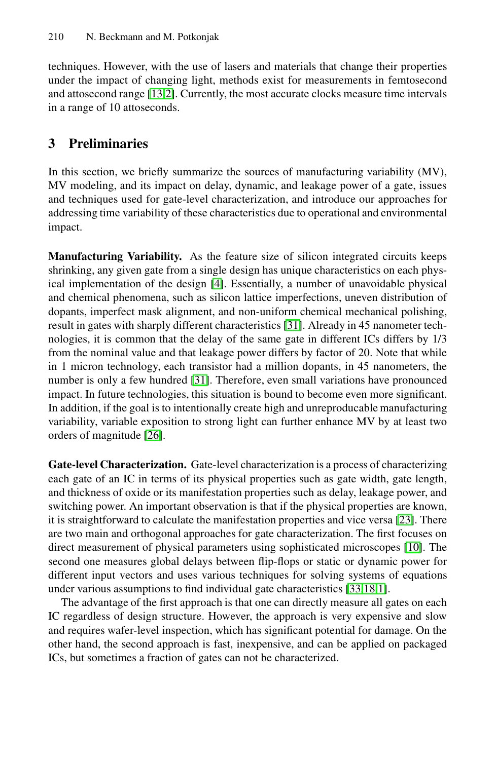<span id="page-4-0"></span>techniques. However, with the use of lasers and materials that change their properties under the impact of changing light, methods exist for measurements in femtosecond and attosecond range [13,2]. Currently, the most accurate clocks measure time intervals in a range of 10 attoseconds.

# **3 Preliminaries**

In this section, [w](#page-13-4)e briefly summarize the sources of manufacturing variability (MV), MV modeling, and its impact on delay, dynamic, and leakage power of a gate, issues and techniques used for gate-level characterization, and introduce our approaches for addressing time variability of t[hese](#page-14-5) characteristics due to operational and environmental impact.

**Manufacturing Variability.** As the feature size of silicon integrated circuits keeps shrinking, [any](#page-14-5) given gate from a single design has unique characteristics on each physical implementation of the design [4]. Essentially, a number of unavoidable physical and chemical phenomena, such as silicon lattice imperfections, uneven distribution of dopants, imperfect mask alignment, and non-uniform chemical mechanical polishing, [resu](#page-14-6)lt in gates with sharply different characteristics [31]. Already in 45 nanometer technologies, it is common that the delay of the same gate in different ICs differs by 1/3 from the nominal value and that leakage power differs by factor of 20. Note that while in 1 micron technology, each transistor had a million dopants, in 45 nanometers, the number is only a few hundred [31]. Therefore, even small variations have pronounced impact. In future technologies, this situation is bound to become even more significant. In addition, if the goal is to intentionally create high an[d un](#page-14-7)reproducable manufacturing variability, variable exposition to strong light can further enhance MV by at least two orders of magnitude [26].

**Gate-level Characterization.** Gate-level characterization is a process of characterizing each gate of an IC in terms of its physical [pro](#page-14-8)[per](#page-13-5)[tie](#page-13-6)s such as gate width, gate length, and thickness of oxide or its manifestation properties such as delay, leakage power, and switching power. An important observation is that if the physical properties are known, it is straightforward to calculate the manifestation properties and vice versa [23]. There are two main and orthogonal approaches for gate characterization. The first focuses on direct measurement of physical parameters using sophisticated microscopes [10]. The second one measures global delays between flip-flops or static or dynamic power for different input vectors and uses various techniques for solving systems of equations under various assumptions to find individual gate characteristics [33,18,1].

The advantage of the first approach is that one can directly measure all gates on each IC regardless of design structure. However, the approach is very expensive and slow and requires wafer-level inspection, which has significant potential for damage. On the other hand, the second approach is fast, inexpensive, and can be applied on packaged ICs, but sometimes a fraction of gates can not be characterized.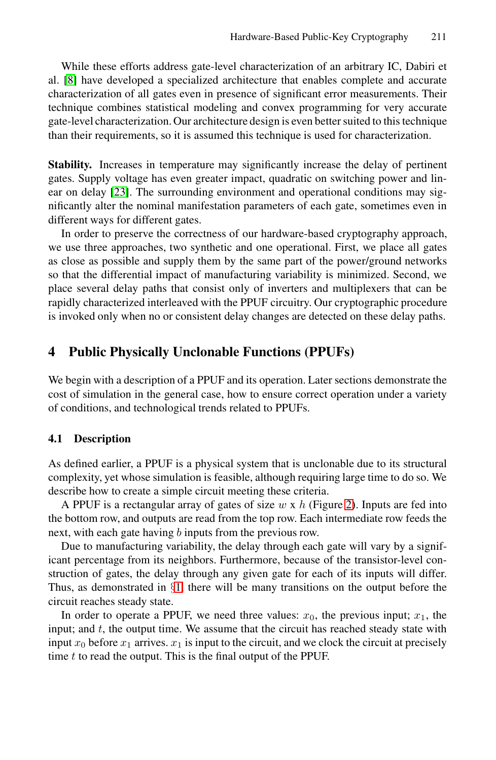While these efforts address gate-level characterization of an arbitrary IC, Dabiri et al. [8] have developed a specialized architecture that enables complete and accurate characterization of all gates even in presence of significant error measurements. Their technique combines statistical modeling and convex programming for very accurate gate-level characterization.Our architecture design is even better suited to this technique than their requirements, so it is assumed this technique is used for characterization.

**Stability.** Increases in temperature may significantly increase the delay of pertinent gates. Supply voltage has even greater impact, quadratic on switching power and linear on delay [23]. The surrounding environment and operational conditions may significantly alter the nominal manifestation parameters of each gate, sometimes even in different ways for different gates.

<span id="page-5-0"></span>In order to preserve the correctness of our hardware-based cryptography approach, we use three approaches, two synthetic and one operational. First, we place all gates as close as possible and supply them by the same part of the power/ground networks so that the differential impact of manufacturing variability is minimized. Second, we place several delay paths that consist only of inverters and multiplexers that can be rapidly characterized interleaved with the PPUF circuitry. Our cryptographic procedure is invoked only when no or consistent delay changes are detected on these delay paths.

# **4 Public Physically Unclonable Functions (PPUFs)**

We begin with a description of a PPUF and its operation. Later sections demonstrate the cost of simulation in the general case, how [to](#page-6-1) ensure correct operation under a variety of conditions, and technological trends related to PPUFs.

#### **4.1 Description**

As defined earlier, a PPUF is a physical system that is unclonable due to its structural compl[ex](#page-1-0)ity, yet whose simulation is feasible, although requiring large time to do so. We describe how to create a simple circuit meeting these criteria.

A PPUF is a rectangular array of gates of size  $w \times h$  (Figure 2). Inputs are fed into the bottom row, and outputs are read from the top row. Each intermediate row feeds the next, with each gate having b inputs from the previous row.

Due to manufacturing variability, the delay through each gate will vary by a significant percentage from its neighbors. Furthermore, because of the transistor-level construction of gates, the delay through any given gate for each of its inputs will differ. Thus, as demonstrated in  $\S1$ , there will be many transitions on the output before the circuit reaches steady state.

In order to operate a PPUF, we need three values:  $x_0$ , the previous input;  $x_1$ , the input; and  $t$ , the output time. We assume that the circuit has reached steady state with input  $x_0$  before  $x_1$  arrives.  $x_1$  is input to the circuit, and we clock the circuit at precisely time  $t$  to read the output. This is the final output of the PPUF.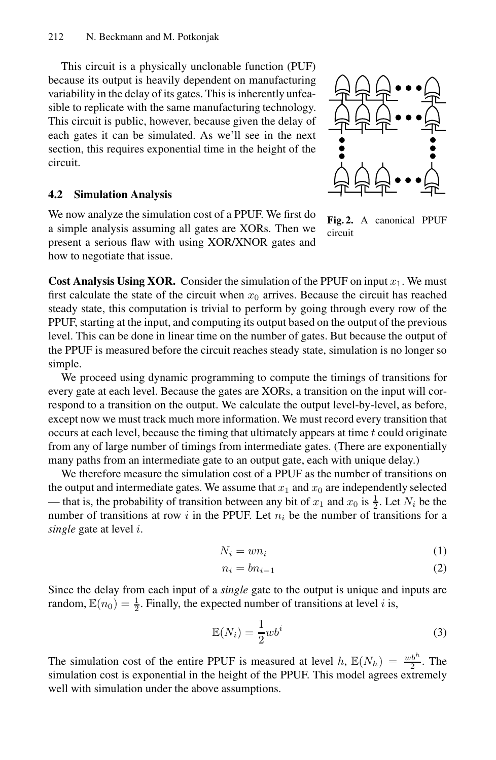This circuit is a physically unclonable function (PUF) because its output is heavily dependent on manufacturing variability in the delay of its gates. This is inherently unfeasible to replicate with the same manufacturing technology. This circuit is public, however, because given the delay of each gates it can be simulated. As we'll see in the next section, this requires exponential time in the height of the circuit.

## <span id="page-6-0"></span>**4.2 Simulation Analysis**

We now analyze the simulation cost of a PPUF. We first do a simple analysis assuming all gates are XORs. Then we present a serious flaw with using XOR/XNOR gates and how to negotiate that issue.



<span id="page-6-1"></span>**Fig. 2.** A canonical PPUF circuit

**Cost Analysis Using XOR.** Consider the simulation of the PPUF on input  $x_1$ . We must first calculate the state of the circuit when  $x_0$  arrives. Because the circuit has reached steady state, this computation is trivial to perform by going through every row of the PPUF, starting at the input, and computing its output based on the output of the previous level. This can be done in linear time on the number of gates. But because the output of the PPUF is measured before the circuit reaches steady state, simulation is no longer so simple.

We proceed using dynamic programming to compute the timings of transitions for every gate at each level. Because the gates are XORs, a transition on the input will correspond to a transition on the output. We calculate the output level-by-level, as before, except now we must track much more information. We must record every transition that occurs at each level, because the timing that ultimately appears at time  $t$  could originate from any of large number of timings from intermediate gates. (There are exponentially many paths from an intermediate gate to an output gate, each with unique delay.)

We therefore measure the simulation cost of a PPUF as the number of transitions on the output and intermediate gates. We assume that  $x_1$  and  $x_0$  are independently selected — that is, the probability of transition between any bit of  $x_1$  and  $x_0$  is  $\frac{1}{2}$ . Let  $N_i$  be the number of transitions at row  $i$  in the PPUF. Let  $n_i$  be the number of transitions for a *single* gate at level i.

$$
N_i = w n_i \tag{1}
$$

<span id="page-6-2"></span>
$$
n_i = b n_{i-1} \tag{2}
$$

Since the delay from each input of a *single* gate to the output is unique and inputs are random,  $\mathbb{E}(n_0) = \frac{1}{2}$ . Finally, the expected number of transitions at level *i* is,

<span id="page-6-3"></span>
$$
\mathbb{E}(N_i) = \frac{1}{2} w b^i \tag{3}
$$

The simulation cost of the entire PPUF is measured at level  $h$ ,  $\mathbb{E}(N_h) = \frac{wb^h}{2}$ . The simulation cost is exponential in the height of the PPUE This model agrees extremely simulation cost is exponential in the height of the PPUF. This model agrees extremely well with simulation under the above assumptions.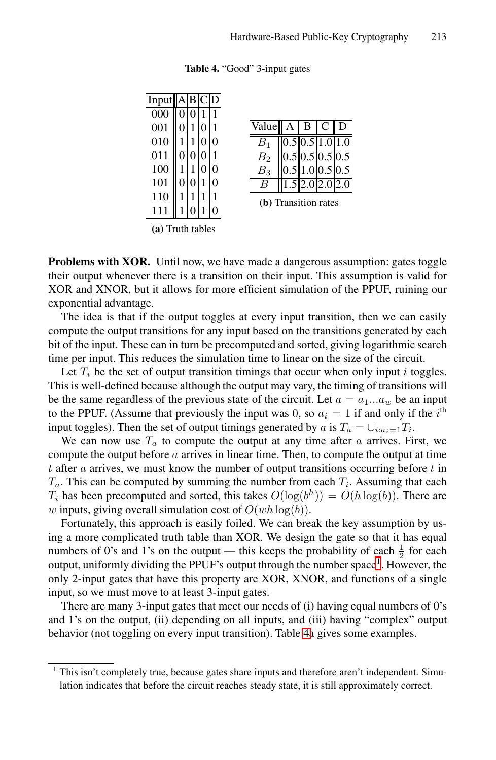<span id="page-7-0"></span>

| Input            |   |  |  | CID |  |                      |     |     |             |     |  |
|------------------|---|--|--|-----|--|----------------------|-----|-----|-------------|-----|--|
|                  |   |  |  |     |  |                      |     |     |             |     |  |
| 001              | 0 |  |  |     |  | Value                | A   | В   | €           | D   |  |
| 010              |   |  |  | 0   |  |                      |     |     | 0.5 1.0     | 1.0 |  |
| 011              |   |  |  |     |  | B <sub>2</sub>       | 0.5 |     | 0.5 0.5 0.5 |     |  |
| 100              |   |  |  | 0   |  | $B_3$                | 0.5 |     | 1.0 0.5     | 0.5 |  |
| 101              | 0 |  |  | 0   |  | B                    | 1.5 | 2.0 | 2.0         | 2.0 |  |
| 110              | I |  |  |     |  | (b) Transition rates |     |     |             |     |  |
| 111              |   |  |  |     |  |                      |     |     |             |     |  |
| (a) Truth tables |   |  |  |     |  |                      |     |     |             |     |  |

**Table 4.** "Good" 3-input gates

**Problems with XOR.** Until now, we have made a dangerous assumption: gates toggle their output whenever there is a transition on their input. This assumption is valid for XOR and XNOR, but it allows for more efficient simulation of the PPUF, ruining our exponential advantage.

The idea is that if the output toggles at every input transition, then we can easily compute the output transitions for any input based on the transitions generated by each bit of the input. These can in turn be precomputed and sorted, giving logarithmic search time per input. This reduces the simulation time to linear on the size of the circuit.

Let  $T_i$  be the set of output transition timings that occur when only input i toggles. This is well-defined because although the output may vary, the timing of transitions will be the same regardless of the previous state of the circuit. Let  $a = a_1...a_w$  be an input to the PPUF. (Assume that previously the input was 0, so  $a_i = 1$  if and only if the i<sup>th</sup> input togales). Then the set of output timings generated by a is  $T = 11$ . input toggles). Then the set of output timings generated by a is  $T_a = \bigcup_{i:a_i=1}T_i$ .

We can now use  $T_a$  to compute the output at any time after  $a$  arrives. First, we compute the output before  $a$  arrives in linear time. Then, to compute the output at time t after a arrives, we must know the number of output transitions occurring before  $t$  in  $T_a$ . This can be computed by summing the number from each  $T_i$ . Assuming that each  $T_i$  has been precomputed and sorted, this takes  $O(\log(b^h)) = O(h \log(b))$ . There are w inputs, giving overall simulation cost of  $O(wh \log(b))$ .

Fortunately, this approach is ea[sil](#page-7-0)y foiled. We can break the key assumption by using a more complicated truth table than XOR. We design the gate so that it has equal numbers of 0's and 1's on the output — this keeps the probability of each  $\frac{1}{2}$  for each output, uniformly dividing the PPUF's output through the number space<sup>1</sup>. However, the only 2-input gates that have this property are XOR, XNOR, and functions of a single input, so we must move to at least 3-input gates.

There are many 3-input gates that meet our needs of (i) having equal numbers of 0's and 1's on the output, (ii) depending on all inputs, and (iii) having "complex" output behavior (not toggling on every input transition). Table 4a gives some examples.

 $<sup>1</sup>$  This isn't completely true, because gates share inputs and therefore aren't independent. Simu-</sup> lation indicates that before the circuit reaches steady state, it is still approximately correct.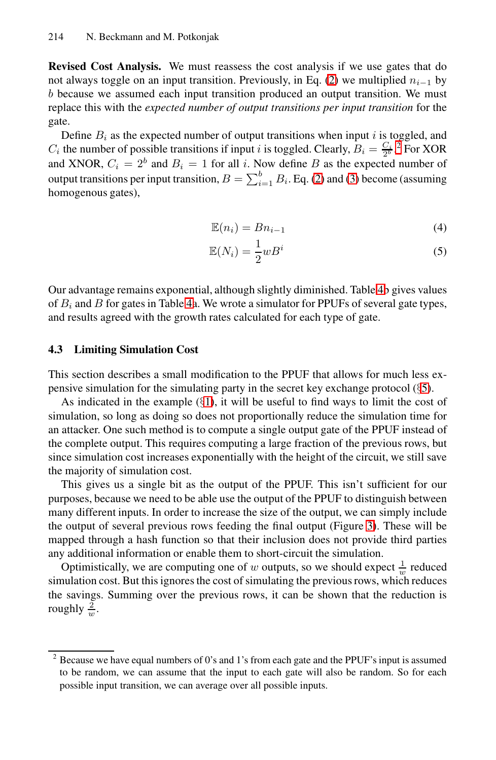**Revised Cost Analysis.** We must [rea](#page-6-2)ssess [th](#page-6-3)e cost analysis if we use gates that do not always toggle on an input transition. Previously, in Eq. (2) we multiplied n*i−*<sup>1</sup> by b because we assumed each input transition produced an output transition. We must replace this with the *expected number of output transitions per input transition* for the gate.

Define  $B_i$  as the expected number of output transitions when input  $i$  is toggled, and  $C_i$  the number of possible transitions if input i is toggled. Clearly,  $B_i = \frac{C_i}{2^b}$ .<sup>2</sup> For XOR and XNOR,  $C_i = 2^b$  and  $B_i = 1$  for all i. Now define B as the expected number of output transitions per input transition  $B = \sum_{i=1}^{b} B_i$ . Eq. (2) and (3) become (assuming output trans[i](#page-7-0)tions per input transition,  $B = \sum_{i=1}^{b} B_i$ . Eq. (2) and (3) become (assuming homogenous gates) homoge[nou](#page-7-0)s gates),

$$
\mathbb{E}(n_i) = Bn_{i-1} \tag{4}
$$

$$
\mathbb{E}(N_i) = \frac{1}{2} w B^i \tag{5}
$$

<span id="page-8-0"></span>Our advanta[ge](#page-1-0) remains exponential, although slightly dimini[sh](#page-10-0)ed. Table 4b gives values of B*<sup>i</sup>* and B for gates in Table 4a. We wrote a simulator for PPUFs of several gate types, and results agreed with the growth rates calculated for each type of gate.

## **4.3 Limiting Simulation Cost**

This section describes a small modification to the PPUF that allows for much less expensive simulation for the simulating party in the secret key exchange protocol (§5).

As indicated in the example  $(\S1)$ , it will be useful to find ways to limit the cost of simulation, so long as doing so does not propor[tio](#page-9-0)nally reduce the simulation time for an attacker. One such method is to compute a single output gate of the PPUF instead of the complete output. This requires computing a large fraction of the previous rows, but since simulation cost increases exponentially with the height of the circuit, we still save the majority of simulation cost.

This gives us a single bit as the output of the PPUF. This isn't sufficient for our purposes, because we need to be able use the output of the PPUF to distinguish between many different inputs. In order to increase the size of the output, we can simply include the output of several previous rows feeding the final output (Figure 3). These will be mapped through a hash function so that their inclusion does not provide third parties any additional information or enable them to short-circuit the simulation.

Optimistically, we are computing one of w outputs, so we should expect  $\frac{1}{w}$  reduced simulation cost. But this ignores the cost of simulating the previous rows, which reduces the savings. Summing over the previous rows, it can be shown that the reduction is roughly  $\frac{2}{w}$ .

<sup>&</sup>lt;sup>2</sup> Because we have equal numbers of 0's and 1's from each gate and the PPUF's input is assumed to be random, we can assume that the input to each gate will also be random. So for each possible input transition, we can average over all possible inputs.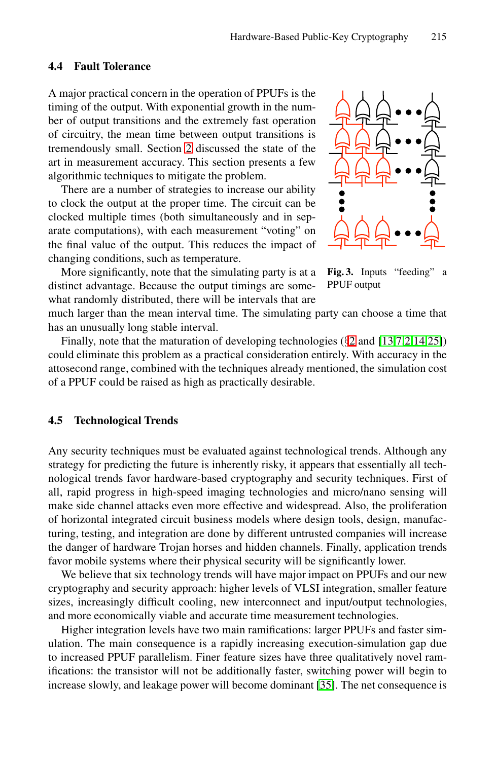## **4.4 Fault Tolerance**

A major practical concern in the operation of PPUFs is the timing of the output. With exponential growth in the number of output transitions and the extremely fast operation of circuitry, the mean time between output transitions is tremendously small. Section 2 discussed the state of the art in measurement accuracy. This section presents a few algorithmic techniques to mitigate the problem.

<span id="page-9-0"></span>There are a number of strategies to increase our ability to clock the output at the proper time. The circuit can be clocked multiple times (both simultaneously and in separate computations), with each measureme[nt](#page-3-2) "voti[ng"](#page-13-7) [o](#page-13-8)[n](#page-13-9) the final value of the output. This reduces the impact of changing conditions, such as temperature.

More significantly, note that the simulating party is at a distinct advantage. Because the output timings are somewhat randomly distributed, there will be intervals that are



Fig. 3. Inputs "feeding" PPUF output

much larger than the mean interval time. The simulating party can choose a time that has an unusually long stable interval.

Finally, note that the maturation of developing technologies (§2 and [13,7,2,14,25]) could eliminate this problem as a practical consideration entirely. With accuracy in the attosecond range, combined with the techniques already mentioned, the simulation cost of a PPUF could be raised as high as practically desirable.

#### **4.5 Technological Trends**

Any security techniques must be evaluated against technological trends. Although any strategy for predicting the future is inherently risky, it appears that essentially all technological trends favor hardware-based cryptography and security techniques. First of all, rapid progress in high-speed imaging technologies and micro/nano sensing will make side channel attacks even more effective and widespread. Also, the proliferation of horizontal integrated circuit business models where design tools, design, manufacturing, testing, and integration are done by different untrusted companies will increase the danger of hardware Trojan horses and hidden channels. Finally, application trends favor mobile systems where their physical security will be significantly lower.

We believe that six technology tren[ds w](#page-14-9)ill have major impact on PPUFs and our new cryptography and security approach: higher levels of VLSI integration, smaller feature sizes, increasingly difficult cooling, new interconnect and input/output technologies, and more economically viable and accurate time measurement technologies.

Higher integration levels have two main ramifications: larger PPUFs and faster simulation. The main consequence is a rapidly increasing execution-simulation gap due to increased PPUF parallelism. Finer feature sizes have three qualitatively novel ramifications: the transistor will not be additionally faster, switching power will begin to increase slowly, and leakage power will become dominant [35]. The net consequence is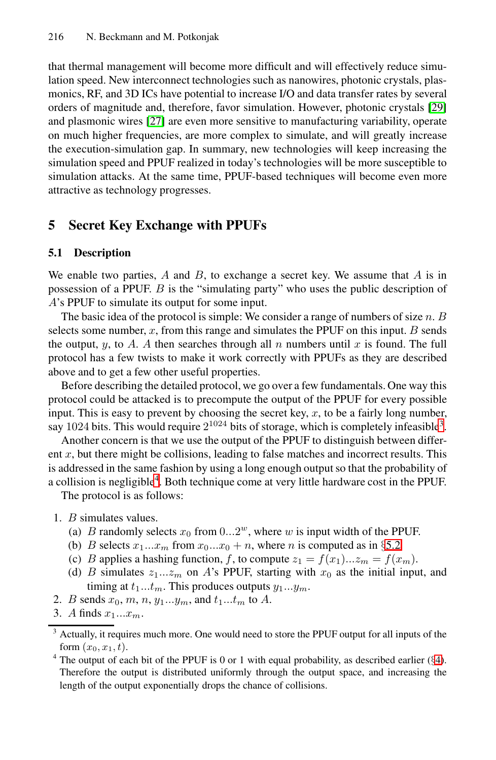<span id="page-10-0"></span>that thermal management will become more difficult and will effectively reduce simulation speed. New interconnect technologies such as nanowires, photonic crystals, plasmonics, RF, and 3D ICs have potential to increase I/O and data transfer rates by several orders of magnitude and, therefore, favor simulation. However, photonic crystals [29] and plasmonic wires [27] are even more sensitive to manufacturing variability, operate on much higher frequencies, are more complex to simulate, and will greatly increase the execution-simulation gap. In summary, new technologies will keep increasing the simulation speed and PPUF realized in today's technologies will be more susceptible to simulation attacks. At the same time, PPUF-based techniques will become even more attractive as technology progresses.

# **5 Secret Key Exchange with PPUFs**

## **5.1 Description**

We enable two parties,  $A$  and  $B$ , to exchange a secret key. We assume that  $A$  is in possession of a PPUF. B is the "simulating party" who uses the public description of A's PPUF to simulate its output for some input.

The basic idea of the protocol is simple: We consider a range of numbers of size  $n$ . B selects some number,  $x$ , from this range and simulates the PPUF on this input.  $B$  sends the output, y, to A. A then searches through all  $n$  numbers until  $x$  is found. The full protocol has a few twists to make it work correctly with PPUFs as they are described above and to get a few other useful properties.

Before describing the detailed protocol, we go over a few fundamentals. One way this protocol could be attacked is to precompute the output of the PPUF for every possible input. This is easy to prevent by choosing the secret key,  $x$ , to be a fairly long number, say 1024 bits. This would require  $2^{1024}$  bits of storage, which is completely infeasible<sup>3</sup>.

Another concern is that we use the output of the P[PUF](#page-11-0) to distinguish between different  $x$ , but there might be collisions, leading to false matches and incorrect results. This is addressed in the same fashion by using a long enough output so that the probability of a collision is negligible4. Both technique come at very little hardware cost in the PPUF.

The protocol is as follows:

- 1. B simulates values.
	- (a) B randomly selects  $x_0$  from  $0...2^w$ , where w is input width of the PPUF.
	- (b) B selects  $x_1...x_m$  from  $x_0...x_0 + n$ , where n is comp[ute](#page-5-0)d as in §5.2.
	- (c) B applies a hashing function, f, to compute  $z_1 = f(x_1)...z_m = f(x_m)$ .
	- (d) B simulates  $z_1...z_m$  on A's PPUF, starting with  $x_0$  as the initial input, and timing at  $t_1...t_m$ . This produces outputs  $y_1...y_m$ .
- 2. *B* sends  $x_0, m, n, y_1...y_m$ , and  $t_1...t_m$  to A.
- 3. A finds  $x_1...x_m$ .

 $3$  Actually, it requires much more. One would need to store the PPUF output for all inputs of the form  $(x_0, x_1, t)$ .

<sup>&</sup>lt;sup>4</sup> The output of each bit of the PPUF is 0 or 1 with equal probability, as described earlier (§4). Therefore the output is distributed uniformly through the output space, and increasing the length of the output exponentially drops the chance of collisions.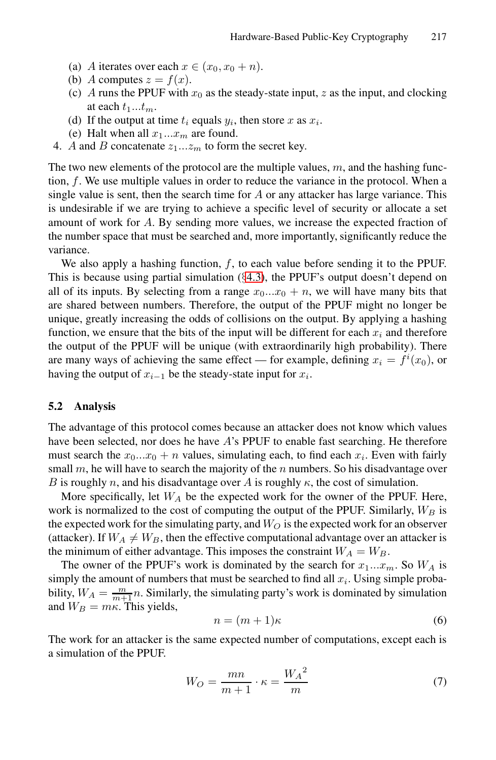- (a) A iterates over each  $x \in (x_0, x_0 + n)$ .
- (b) A computes  $z = f(x)$ .
- (c) A runs the PPUF with  $x_0$  as the steady-state input, z as the input, and clocking at each  $t_1...t_m$ .
- (d) If the output at time  $t_i$  equals  $y_i$ , then store x as  $x_i$ .
- (e) Halt when all  $x_1...x_m$  are found.
- 4. A and B concatenate  $z_1...z_m$  to form the secret key.

The two new element[s of t](#page-8-0)he protocol are the multiple values,  $m$ , and the hashing function, f. We use multiple values in order to reduce the variance in the protocol. When a single value is sent, then the search time for  $A$  or any attacker has large variance. This is undesirable if we are trying to achieve a specific level of security or allocate a set amount of work for A. By sending more values, we increase the expected fraction of the number space that must be searched and, more importantly, significantly reduce the variance.

<span id="page-11-0"></span>We also apply a hashing function,  $f$ , to each value before sending it to the PPUF. This is because using partial simulation (§4.3), the PPUF's output doesn't depend on all of its inputs. By selecting from a range  $x_0...x_0 + n$ , we will have many bits that are shared between numbers. Therefore, the output of the PPUF might no longer be unique, greatly increasing the odds of collisions on the output. By applying a hashing function, we ensure that the bits of the input will be different for each  $x_i$  and therefore the output of the PPUF will be unique (with extraordinarily high probability). There are many ways of achieving the same effect — for example, defining  $x_i = f^i(x_0)$ , or having the output of  $x_i$ , be the steady-state input for  $x_i$ . having the output of  $x_{i-1}$  be the steady-state input for  $x_i$ .

## **5.2 Analysis**

The advantage of this protocol comes because an attacker does not know which values have been selected, nor does he have A's PPUF to enable fast searching. He therefore must search the  $x_0...x_0 + n$  values, simulating each, to find each  $x_i$ . Even with fairly small m, he will have to search the majority of the n numbers. So his disadvantage over B is roughly n, and his disadvantage over A is roughly  $\kappa$ , the cost of simulation.

More specifically, let  $W_A$  be the expected work for the owner of the PPUF. Here, work is normalized to the cost of computing the output of the PPUF. Similarly,  $W_B$  is the expected work for the simulating party, and  $W_O$  is the expected work for an observer (attacker). If  $W_A \neq W_B$ , then the effective computational advantage over an attacker is the minimum of either advantage. This imposes the constraint  $W_A = W_B$ .

The owner of the PPUF's work is dominated by the search for  $x_1...x_m$ . So  $W_A$  is simply the amount of numbers that must be searched to find all  $x_i$ . Using simple probability,  $W_A = \frac{m}{m+1}n$ . Similarly, the simulating party's work is dominated by simulation and  $W_D = m_E$ . This vields and  $W_B = m\kappa$ . This yields,

$$
n = (m+1)\kappa \tag{6}
$$

The work for an attacker is the same expected number of computations, except each is a simulation of the PPUF.

$$
W_O = \frac{mn}{m+1} \cdot \kappa = \frac{W_A^2}{m}
$$
 (7)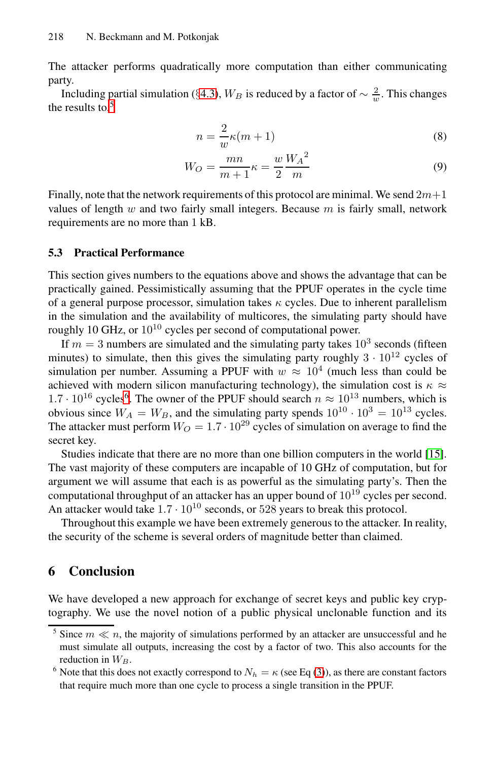The attacker performs quadratically more computation than either communicating party.

Including partial simulation (§4.3),  $W_B$  is reduced by a factor of  $\sim \frac{2}{w}$ . This changes the results to. $5$ 

$$
n = \frac{2}{w}\kappa(m+1)
$$
 (8)

$$
W_O = \frac{mn}{m+1}\kappa = \frac{w}{2}\frac{W_A^2}{m}
$$
\n<sup>(9)</sup>

Finally, note that the network requirements of this protocol are minimal. We send  $2m+1$ values of length  $w$  and two fairly small integers. Because  $m$  is fairly small, network requirements are no more than 1 kB.

# **5.3 Practical Performance**

This section gives numbers to the equations above and shows the advantage that can be practically gained. Pessimistically assuming that the PPUF operates in the cycle time of a general purpose processor, simulation takes  $\kappa$  cycles. Due to inherent parallelism in the simulation and the availability of multicores, the simulating party should have roughly 10 GHz, or  $10^{10}$  cycles per second of computational power.

If  $m = 3$  numbers are simulated and the simulating party t[ake](#page-13-10)s  $10<sup>3</sup>$  seconds (fifteen minutes) to simulate, then this gives the simulating party roughly  $3 \cdot 10^{12}$  cycles of simulation per number. Assuming a PPUF with  $w \approx 10^4$  (much less than could be achieved with modern silicon manufacturing technology), the simulation cost is  $\kappa \approx$ 1.7 ·  $10^{16}$  cycles<sup>6</sup>. The owner of the PPUF should search  $n \approx 10^{13}$  numbers, which is obvious since  $W_A = W_B$ , and the simulating party spends  $10^{10} \cdot 10^3 = 10^{13}$  cycles.<br>The attacker must perform  $W_Q = 1.7 \cdot 10^{29}$  cycles of simulation on average to find the The attacker must perform  $W_O = 1.7 \cdot 10^{29}$  cycles of simulation on average to find the secret key secret key.

<span id="page-12-0"></span>Studies indicate that there are no more than one billion computers in the world [15]. The vast majority of these computers are incapable of 10 GHz of computation, but for argument we will assume that each is as powerful as the simulating party's. Then the computational throughput of an attacker has an upper bound of  $10^{19}$  cycles per second. An attacker would take  $1.7 \cdot 10^{10}$  seconds, or 528 years to break this protocol.

Throughout this example we have been extremely generous to the attacker. In reality, the security of the scheme is several orders of magnitude better than claimed.

# **6 Conclusion**

We have developed a new approach for exchange of secret keys and public key cryptography. We use the novel notion of a public physical unclonable function and its

<sup>&</sup>lt;sup>5</sup> Since  $m \ll n$ , the majority of simulations performed by an attacker are unsuccessful and he must simulate all outputs, increasing the cost by a factor of two. This also accounts for the reduction in W*B*.

<sup>&</sup>lt;sup>6</sup> Note that this does not exactly correspond to  $N_h = \kappa$  (see Eq (3)), as there are constant factors that require much more than one cycle to process a single transition in the PPUF.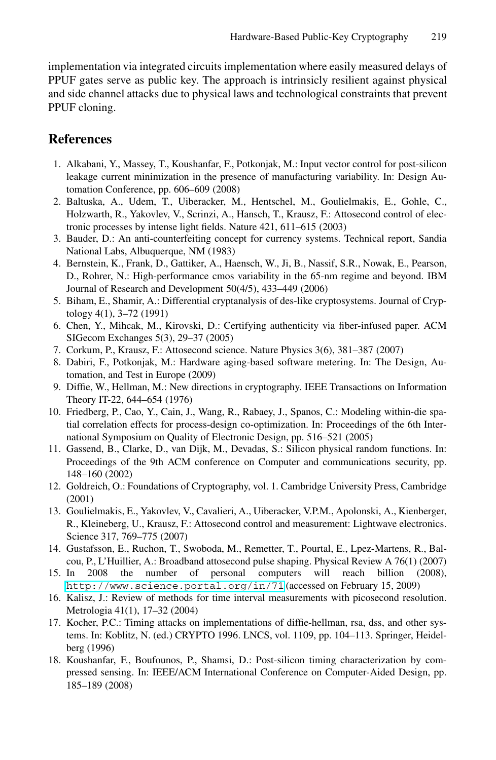<span id="page-13-9"></span><span id="page-13-6"></span>implementation via integrated circuits implementation where easily measured delays of PPUF gates serve as public key. The approach is intrinsicly resilient against physical and side channel attacks due to physical laws and technological constraints that prevent PPUF cloning.

# <span id="page-13-4"></span>**References**

- 1. Alkabani, Y., Massey, T., Koushanfar, F., Potkonjak, M.: Input vector control for post-silicon leakage current minimization in the presence of manufacturing variability. In: Design Automation Conference, pp. 606–609 (2008)
- <span id="page-13-2"></span>2. Baltuska, A., Udem, T., Uiberacker, M., Hentschel, M., Goulielmakis, E., Gohle, C., Holzwarth, R., Yakovlev, V., Scrinzi, A., Hansch, T., Krausz, F.: Attosecond control of electronic processes by intense light fields. Nature 421, 611–615 (2003)
- <span id="page-13-8"></span>3. Bauder, D.: An anti-counterfeiting concept for currency systems. Technical report, Sandia National Labs, Albuquerque, NM (1983)
- 4. Bernstein, K., Frank, D., Gattiker, A., Haensch, W., Ji, B., Nassif, S.R., Nowak, E., Pearson, D., Rohrer, N.: High-performance cmos variability in the 65-nm regime and beyond. IBM Journal of Research and Development 50(4/5), 433–449 (2006)
- 5. Biham, E., Shamir, A.: Differential cryptanalysis of des-like cryptosystems. Journal of Cryptology 4(1), 3–72 (1991)
- <span id="page-13-3"></span>6. Chen, Y., Mihcak, M., Kirovski, D.: Certifying authenticity via fiber-infused paper. ACM SIGecom Exchanges 5(3), 29–37 (2005)
- 7. Corkum, P., Krausz, F.: Attosecond science. Nature Physics 3(6), 381–387 (2007)
- 8. Dabiri, F., Potkonjak, M.: Hardware aging-based software metering. In: The Design, Automation, and Test in Europe (2009)
- <span id="page-13-0"></span>9. Diffie, W., Hellman, M.: New directions in cryptography. IEEE Transactions on Information Theory IT-22, 644–654 (1976)
- <span id="page-13-7"></span>10. Friedberg, P., Cao, Y., Cain, J., Wang, R., Rabaey, J., Spanos, C.: Modeling within-die spatial correlation effects for process-design co-optimization. In: Proceedings of the 6th International Symposium on Quality of Electronic Design, pp. 516–521 (2005)
- <span id="page-13-10"></span>11. Gassend, B., Clarke, D., van Dijk, M., Devadas, S.: Silicon physical random functions. In: Proceedings of the 9th ACM conference on Computer and communications security, pp. 148–160 (2002)
- [12.](http://www.science.portal.org/in/71) [Goldreich,](http://www.science.portal.org/in/71) [O.:](http://www.science.portal.org/in/71) [Foundations](http://www.science.portal.org/in/71) [of](http://www.science.portal.org/in/71) Cryptography, vol. 1. Cambridge University Press, Cambridge (2001)
- <span id="page-13-1"></span>13. Goulielmakis, E., Yakovlev, V., Cavalieri, A., Uiberacker, V.P.M., Apolonski, A., Kienberger, R., Kleineberg, U., Krausz, F.: Attosecond control and measurement: Lightwave electronics. Science 317, 769–775 (2007)
- <span id="page-13-5"></span>14. Gustafsson, E., Ruchon, T., Swoboda, M., Remetter, T., Pourtal, E., Lpez-Martens, R., Balcou, P., L'Huillier, A.: Broadband attosecond pulse shaping. Physical Review A 76(1) (2007)
- 15. In 2008 the number of personal computers will reach billion (2008), http://www.science.portal.org/in/71 (accessed on February 15, 2009)
- 16. Kalisz, J.: Review of methods for time interval measurements with picosecond resolution. Metrologia 41(1), 17–32 (2004)
- 17. Kocher, P.C.: Timing attacks on implementations of diffie-hellman, rsa, dss, and other systems. In: Koblitz, N. (ed.) CRYPTO 1996. LNCS, vol. 1109, pp. 104–113. Springer, Heidelberg (1996)
- 18. Koushanfar, F., Boufounos, P., Shamsi, D.: Post-silicon timing characterization by compressed sensing. In: IEEE/ACM International Conference on Computer-Aided Design, pp. 185–189 (2008)